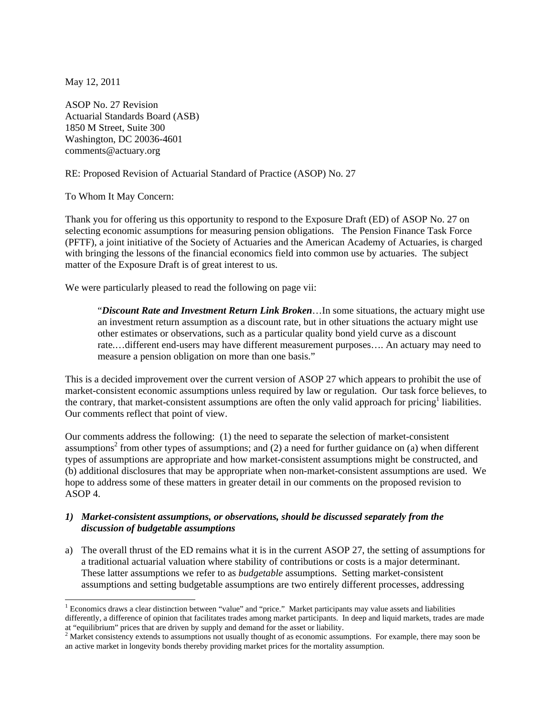May 12, 2011

ASOP No. 27 Revision Actuarial Standards Board (ASB) 1850 M Street, Suite 300 Washington, DC 20036-4601 comments@actuary.org

RE: Proposed Revision of Actuarial Standard of Practice (ASOP) No. 27

To Whom It May Concern:

Thank you for offering us this opportunity to respond to the Exposure Draft (ED) of ASOP No. 27 on selecting economic assumptions for measuring pension obligations. The Pension Finance Task Force (PFTF), a joint initiative of the Society of Actuaries and the American Academy of Actuaries, is charged with bringing the lessons of the financial economics field into common use by actuaries. The subject matter of the Exposure Draft is of great interest to us.

We were particularly pleased to read the following on page vii:

"*Discount Rate and Investment Return Link Broken*…In some situations, the actuary might use an investment return assumption as a discount rate, but in other situations the actuary might use other estimates or observations, such as a particular quality bond yield curve as a discount rate.…different end-users may have different measurement purposes…. An actuary may need to measure a pension obligation on more than one basis."

This is a decided improvement over the current version of ASOP 27 which appears to prohibit the use of market-consistent economic assumptions unless required by law or regulation. Our task force believes, to the contrary, that market-consistent assumptions are often the only valid approach for pricing<sup>1</sup> liabilities. Our comments reflect that point of view.

Our comments address the following: (1) the need to separate the selection of market-consistent assumptions<sup>2</sup> from other types of assumptions; and  $(2)$  a need for further guidance on  $(a)$  when different types of assumptions are appropriate and how market-consistent assumptions might be constructed, and (b) additional disclosures that may be appropriate when non-market-consistent assumptions are used. We hope to address some of these matters in greater detail in our comments on the proposed revision to ASOP 4.

## *1) Market-consistent assumptions, or observations, should be discussed separately from the discussion of budgetable assumptions*

a) The overall thrust of the ED remains what it is in the current ASOP 27, the setting of assumptions for a traditional actuarial valuation where stability of contributions or costs is a major determinant. These latter assumptions we refer to as *budgetable* assumptions. Setting market-consistent assumptions and setting budgetable assumptions are two entirely different processes, addressing

<sup>&</sup>lt;sup>1</sup> Economics draws a clear distinction between "value" and "price." Market participants may value assets and liabilities differently, a difference of opinion that facilitates trades among market participants. In deep and liquid markets, trades are made

at "equilibrium" prices that are driven by supply and demand for the asset or liability.<br><sup>2</sup> Market consistency extends to assumptions not usually thought of as economic assumptions. For example, there may soon be an active market in longevity bonds thereby providing market prices for the mortality assumption.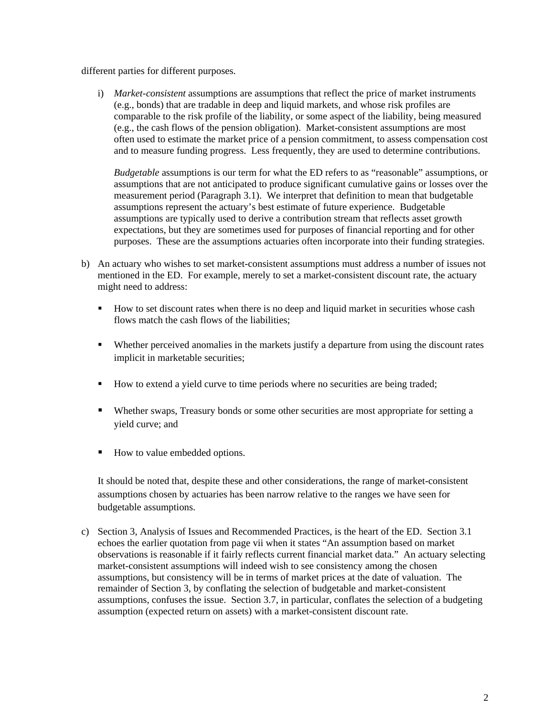different parties for different purposes.

i) *Market-consistent* assumptions are assumptions that reflect the price of market instruments (e.g., bonds) that are tradable in deep and liquid markets, and whose risk profiles are comparable to the risk profile of the liability, or some aspect of the liability, being measured (e.g., the cash flows of the pension obligation). Market-consistent assumptions are most often used to estimate the market price of a pension commitment, to assess compensation cost and to measure funding progress. Less frequently, they are used to determine contributions.

*Budgetable* assumptions is our term for what the ED refers to as "reasonable" assumptions, or assumptions that are not anticipated to produce significant cumulative gains or losses over the measurement period (Paragraph 3.1). We interpret that definition to mean that budgetable assumptions represent the actuary's best estimate of future experience. Budgetable assumptions are typically used to derive a contribution stream that reflects asset growth expectations, but they are sometimes used for purposes of financial reporting and for other purposes. These are the assumptions actuaries often incorporate into their funding strategies.

- b) An actuary who wishes to set market-consistent assumptions must address a number of issues not mentioned in the ED. For example, merely to set a market-consistent discount rate, the actuary might need to address:
	- How to set discount rates when there is no deep and liquid market in securities whose cash flows match the cash flows of the liabilities;
	- Whether perceived anomalies in the markets justify a departure from using the discount rates implicit in marketable securities;
	- How to extend a yield curve to time periods where no securities are being traded;
	- Whether swaps, Treasury bonds or some other securities are most appropriate for setting a yield curve; and
	- How to value embedded options.

It should be noted that, despite these and other considerations, the range of market-consistent assumptions chosen by actuaries has been narrow relative to the ranges we have seen for budgetable assumptions.

c) Section 3, Analysis of Issues and Recommended Practices, is the heart of the ED. Section 3.1 echoes the earlier quotation from page vii when it states "An assumption based on market observations is reasonable if it fairly reflects current financial market data." An actuary selecting market-consistent assumptions will indeed wish to see consistency among the chosen assumptions, but consistency will be in terms of market prices at the date of valuation. The remainder of Section 3, by conflating the selection of budgetable and market-consistent assumptions, confuses the issue. Section 3.7, in particular, conflates the selection of a budgeting assumption (expected return on assets) with a market-consistent discount rate.